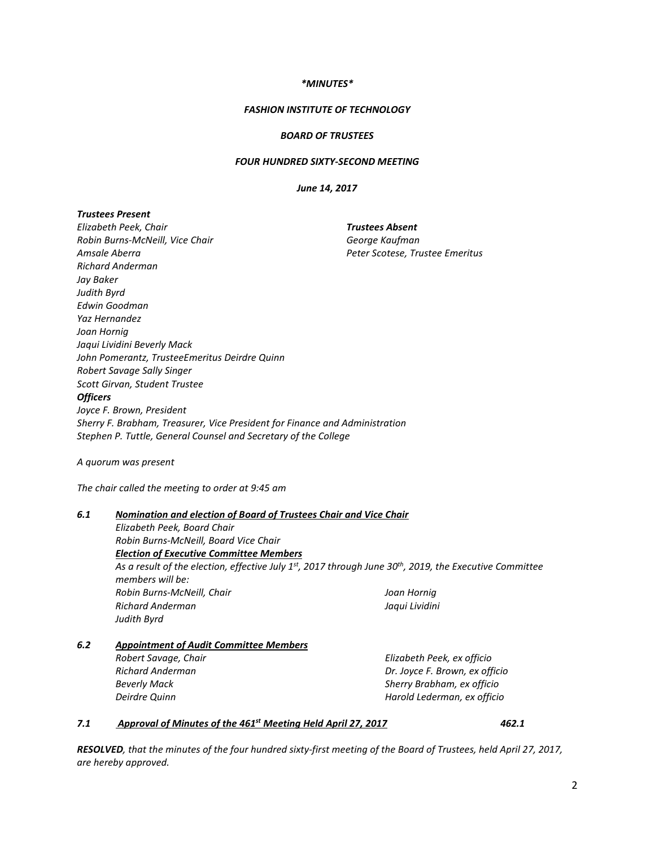### *\*MINUTES\**

### *FASHION INSTITUTE OF TECHNOLOGY*

### *BOARD OF TRUSTEES*

### *FOUR HUNDRED SIXTY-SECOND MEETING*

*June 14, 2017*

### *Trustees Present*

*Elizabeth Peek, Chair Robin Burns-McNeill, Vice Chair Amsale Aberra Richard Anderman Jay Baker Judith Byrd Edwin Goodman Yaz Hernandez Joan Hornig Jaqui Lividini Beverly Mack John Pomerantz, TrusteeEmeritus Deirdre Quinn Robert Savage Sally Singer Scott Girvan, Student Trustee Trustees Absent George Kaufman Peter Scotese, Trustee Emeritus Officers Joyce F. Brown, President Sherry F. Brabham, Treasurer, Vice President for Finance and Administration Stephen P. Tuttle, General Counsel and Secretary of the College*

*A quorum was present*

*The chair called the meeting to order at 9:45 am*

### *6.1 Nomination and election of Board of Trustees Chair and Vice Chair*

*Elizabeth Peek, Board Chair Robin Burns-McNeill, Board Vice Chair Election of Executive Committee Members As a result of the election, effective July 1st, 2017 through June 30th, 2019, the Executive Committee members will be: Robin Burns-McNeill, Chair Richard Anderman Judith Byrd Joan Hornig Jaqui Lividini*

# *6.2 Appointment of Audit Committee Members*

*Robert Savage, Chair Richard Anderman Beverly Mack Deirdre Quinn*

*Elizabeth Peek, ex officio Dr. Joyce F. Brown, ex officio Sherry Brabham, ex officio Harold Lederman, ex officio*

# *7.1 Approval of Minutes of the 461st Meeting Held April 27, 2017 462.1*

*RESOLVED, that the minutes of the four hundred sixty-first meeting of the Board of Trustees, held April 27, 2017, are hereby approved.*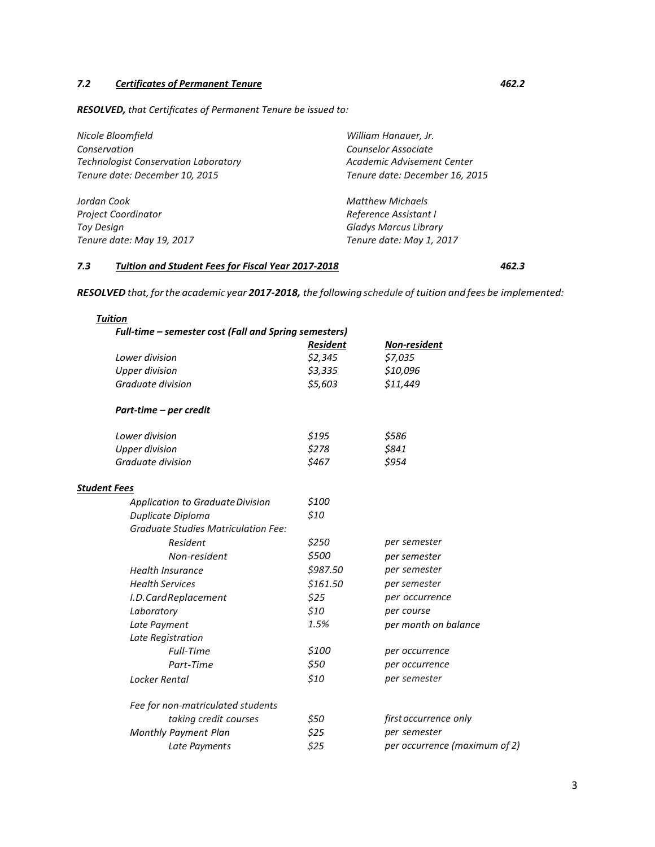# *7.2 Certificates of Permanent Tenure 462.2*

*RESOLVED, that Certificates of Permanent Tenure be issued to:*

| Nicole Bloomfield<br>Conservation<br><b>Technologist Conservation Laboratory</b><br>Tenure date: December 10, 2015 | William Hanauer, Jr.<br>Counselor Associate<br>Academic Advisement Center<br>Tenure date: December 16, 2015 |
|--------------------------------------------------------------------------------------------------------------------|-------------------------------------------------------------------------------------------------------------|
| Jordan Cook                                                                                                        | <b>Matthew Michaels</b>                                                                                     |
| <b>Project Coordinator</b>                                                                                         | Reference Assistant I                                                                                       |
| <b>Toy Design</b>                                                                                                  | <b>Gladys Marcus Library</b>                                                                                |
| Tenure date: May 19, 2017                                                                                          | Tenure date: May 1, 2017                                                                                    |

# *7.3 Tuition and Student Fees for Fiscal Year 2017-2018 462.3*

*RESOLVED that,forthe academic year 2017-2018, the following schedule of tuition and fees be implemented:*

| <b>Tuition</b>                                        |                 |                               |  |
|-------------------------------------------------------|-----------------|-------------------------------|--|
| Full-time – semester cost (Fall and Spring semesters) |                 |                               |  |
|                                                       | <b>Resident</b> | Non-resident                  |  |
| Lower division                                        | \$2,345         | \$7,035                       |  |
| <b>Upper division</b>                                 | \$3,335         | \$10,096                      |  |
| Graduate division                                     | \$5,603         | \$11,449                      |  |
| Part-time - per credit                                |                 |                               |  |
| Lower division                                        | \$195           | \$586                         |  |
| <b>Upper division</b>                                 | \$278           | \$841                         |  |
| Graduate division                                     | \$467           | \$954                         |  |
| <b>Student Fees</b>                                   |                 |                               |  |
| Application to Graduate Division                      | \$100           |                               |  |
| Duplicate Diploma                                     | \$10            |                               |  |
| <b>Graduate Studies Matriculation Fee:</b>            |                 |                               |  |
| Resident                                              | \$250           | per semester                  |  |
| Non-resident                                          | \$500           | per semester                  |  |
| <b>Health Insurance</b>                               | \$987.50        | per semester                  |  |
| <b>Health Services</b>                                | \$161.50        | per semester                  |  |
| I.D.CardReplacement                                   | \$25            | per occurrence<br>per course  |  |
| Laboratory                                            | \$10            |                               |  |
| Late Payment                                          | 1.5%            | per month on balance          |  |
| Late Registration                                     |                 |                               |  |
| Full-Time                                             | \$100           | per occurrence                |  |
| Part-Time                                             | \$50            | per occurrence                |  |
| Locker Rental                                         | \$10            | per semester                  |  |
| Fee for non-matriculated students                     |                 |                               |  |
| taking credit courses                                 | \$50            | first occurrence only         |  |
| Monthly Payment Plan                                  | \$25            | per semester                  |  |
| Late Payments                                         | \$25            | per occurrence (maximum of 2) |  |